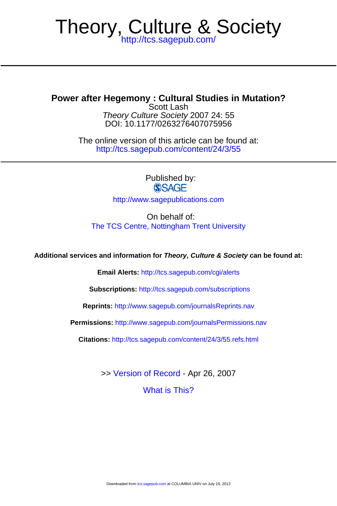## <http://tcs.sagepub.com/> Theory, Culture & Society

**Power after Hegemony : Cultural Studies in Mutation?**

DOI: 10.1177/0263276407075956 Theory Culture Society 2007 24: 55 Scott Lash

<http://tcs.sagepub.com/content/24/3/55> The online version of this article can be found at:

Published by:<br>
SAGE

<http://www.sagepublications.com>

On behalf of: [The TCS Centre, Nottingham Trent University](http://ntu.ac.uk/research/school_research/hum/29480gp.html)

**Additional services and information for Theory, Culture & Society can be found at:**

**Email Alerts:** <http://tcs.sagepub.com/cgi/alerts>

**Subscriptions:** <http://tcs.sagepub.com/subscriptions>

**Reprints:** <http://www.sagepub.com/journalsReprints.nav>

**Permissions:** <http://www.sagepub.com/journalsPermissions.nav>

**Citations:** <http://tcs.sagepub.com/content/24/3/55.refs.html>

>> [Version of Record -](http://tcs.sagepub.com/content/24/3/55.full.pdf) Apr 26, 2007

[What is This?](http://online.sagepub.com/site/sphelp/vorhelp.xhtml)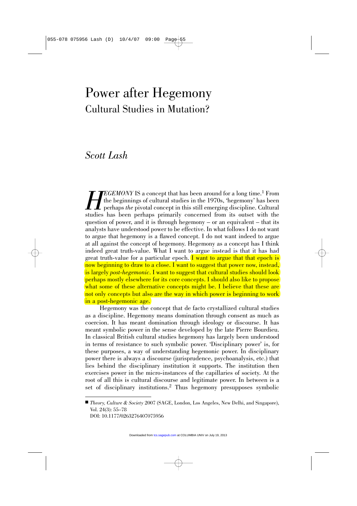# Power after Hegemony Cultural Studies in Mutation?

### *Scott Lash*

*HEGEMONY* IS a concept that has been around for a long time.<sup>1</sup> From<br>the beginnings of cultural studies in the 1970s, 'hegemony' has been<br>perhaps the pivotal concept in this still emerging discipline. Cultural<br>studies has the beginnings of cultural studies in the 1970s, 'hegemony' has been perhaps *the* pivotal concept in this still emerging discipline. Cultural studies has been perhaps primarily concerned from its outset with the question of power, and it is through hegemony – or an equivalent – that its analysts have understood power to be effective. In what follows I do not want to argue that hegemony is a flawed concept. I do not want indeed to argue at all against the concept of hegemony. Hegemony as a concept has I think indeed great truth-value. What I want to argue instead is that it has had great truth-value for a particular epoch.  $\overline{I}$  want to argue that that epoch is now beginning to draw to a close. I want to suggest that power now, instead, is largely *post-hegemonic*. I want to suggest that cultural studies should look perhaps mostly elsewhere for its core concepts. I should also like to propose what some of these alternative concepts might be. I believe that these are not only concepts but also are the way in which power is beginning to work in a post-hegemonic age.

Hegemony was the concept that de facto crystallized cultural studies as a discipline. Hegemony means domination through consent as much as coercion. It has meant domination through ideology or discourse. It has meant symbolic power in the sense developed by the late Pierre Bourdieu. In classical British cultural studies hegemony has largely been understood in terms of resistance to such symbolic power. 'Disciplinary power' is, for these purposes, a way of understanding hegemonic power. In disciplinary power there is always a discourse (jurisprudence, psychoanalysis, etc.) that lies behind the disciplinary institution it supports. The institution then exercises power in the micro-instances of the capillaries of society. At the root of all this is cultural discourse and legitimate power. In between is a set of disciplinary institutions.2 Thus hegemony presupposes symbolic

<sup>■</sup> *Theory, Culture & Society* 2007 (SAGE, London, Los Angeles, New Delhi, and Singapore), Vol. 24(3): 55–78 DOI: 10.1177/0263276407075956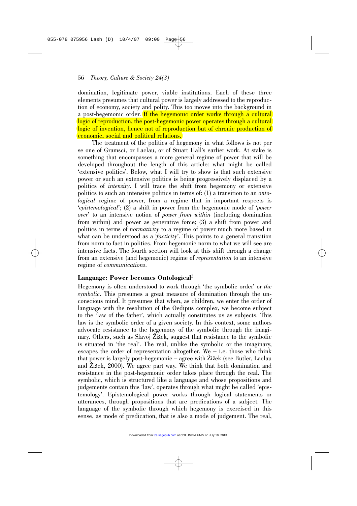domination, legitimate power, viable institutions. Each of these three elements presumes that cultural power is largely addressed to the reproduction of economy, society and polity. This too moves into the background in a post-hegemonic order. If the hegemonic order works through a cultural logic of reproduction, the post-hegemonic power operates through a cultural logic of invention, hence not of reproduction but of chronic production of economic, social and political relations.

The treatment of the politics of hegemony in what follows is not per se one of Gramsci, or Laclau, or of Stuart Hall's earlier work. At stake is something that encompasses a more general regime of power that will be developed throughout the length of this article: what might be called 'extensive politics'. Below, what I will try to show is that such extensive power or such an extensive politics is being progressively displaced by a politics of *intensity*. I will trace the shift from hegemony or extensive politics to such an intensive politics in terms of: (1) a transition to an *ontological* regime of power, from a regime that in important respects is '*epistemological*'; (2) a shift in power from the hegemonic mode of '*power over*' to an intensive notion of *power from within* (including domination from within) and power as generative force; (3) a shift from power and politics in terms of *normativity* to a regime of power much more based in what can be understood as a '*facticity*'. This points to a general transition from norm to fact in politics. From hegemonic norm to what we will see are intensive facts. The fourth section will look at this shift through a change from an extensive (and hegemonic) regime of *representation* to an intensive regime of *communications*.

#### **Language: Power becomes Ontological**<sup>3</sup>

Hegemony is often understood to work through 'the symbolic order' or *the symbolic*. This presumes a great measure of domination through the unconscious mind. It presumes that when, as children, we enter the order of language with the resolution of the Oedipus complex, we become subject to the 'law of the father', which actually constitutes us as subjects. This law is the symbolic order of a given society. In this context, some authors advocate resistance to the hegemony of the symbolic through the imaginary. Others, such as Slavoj Žižek, suggest that resistance to the symbolic is situated in 'the real'. The real, unlike the symbolic or the imaginary, escapes the order of representation altogether. We  $-$  i.e. those who think that power is largely post-hegemonic  $-$  agree with  $\chi$  zižek (see Butler, Laclau and Žižek, 2000). We agree part way. We think that both domination and resistance in the post-hegemonic order takes place through the real. The symbolic, which is structured like a language and whose propositions and judgements contain this 'law', operates through what might be called 'epistemology'. Epistemological power works through logical statements or utterances, through propositions that are predications of a subject. The language of the symbolic through which hegemony is exercised in this sense, as mode of predication, that is also a mode of judgement. The real,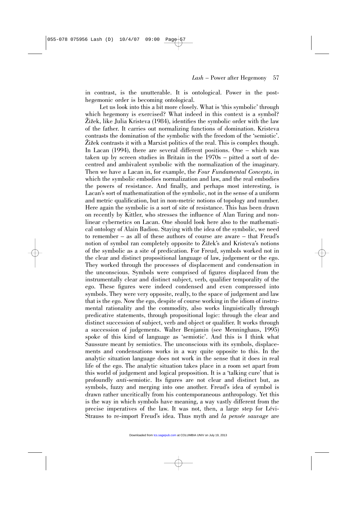in contrast, is the unutterable. It is ontological. Power in the posthegemonic order is becoming ontological.

Let us look into this a bit more closely. What is 'this symbolic' through which hegemony is exercised? What indeed in this context is a symbol? Zižek, like Julia Kristeva (1984), identifies the symbolic order with the law of the father. It carries out normalizing functions of domination. Kristeva contrasts the domination of the symbolic with the freedom of the 'semiotic'. Zižek contrasts it with a Marxist politics of the real. This is complex though. In Lacan (1994), there are several different positions. One – which was taken up by screen studies in Britain in the 1970s – pitted a sort of decentred and ambivalent symbolic with the normalization of the imaginary. Then we have a Lacan in, for example, the *Four Fundamental Concepts*, in which the symbolic embodies normalization and law, and the real embodies the powers of resistance. And finally, and perhaps most interesting, is Lacan's sort of mathematization of the symbolic, not in the sense of a uniform and metric qualification, but in non-metric notions of topology and number. Here again the symbolic is a sort of site of resistance. This has been drawn on recently by Kittler, who stresses the influence of Alan Turing and nonlinear cybernetics on Lacan. One should look here also to the mathematical ontology of Alain Badiou. Staying with the idea of the symbolic, we need to remember – as all of these authors of course are aware – that Freud's notion of symbol ran completely opposite to  $\tilde{Z}$ ižek's and Kristeva's notions of the symbolic as a site of predication. For Freud, symbols worked not in the clear and distinct propositional language of law, judgement or the ego. They worked through the processes of displacement and condensation in the unconscious. Symbols were comprised of figures displaced from the instrumentally clear and distinct subject, verb, qualifier temporality of the ego. These figures were indeed condensed and even compressed into symbols. They were very opposite, really, to the space of judgement and law that is the ego. Now the ego, despite of course working in the idiom of instrumental rationality and the commodity, also works linguistically through predicative statements, through propositional logic: through the clear and distinct succession of subject, verb and object or qualifier. It works through a succession of judgements. Walter Benjamin (see Menninghaus, 1995) spoke of this kind of language as 'semiotic'. And this is I think what Saussure meant by semiotics. The unconscious with its symbols, displacements and condensations works in a way quite opposite to this. In the analytic situation language does not work in the sense that it does in real life of the ego. The analytic situation takes place in a room set apart from this world of judgement and logical proposition. It is a 'talking cure' that is profoundly *anti*-semiotic. Its figures are not clear and distinct but, as symbols, fuzzy and merging into one another. Freud's idea of symbol is drawn rather uncritically from his contemporaneous anthropology. Yet this is the way in which symbols have meaning, a way vastly different from the precise imperatives of the law. It was not, then, a large step for Lévi-Strauss to re-import Freud's idea. Thus myth and *la pensée sauvage* are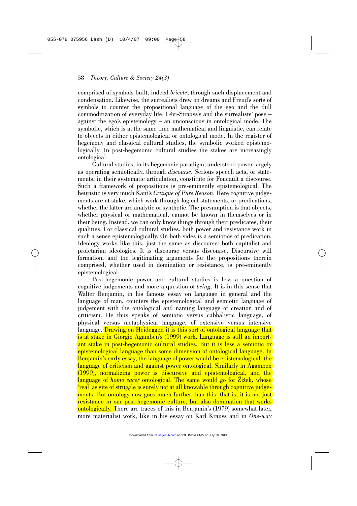comprised of symbols built, indeed *bricolé*, through such displacement and condensation. Likewise, the surrealists drew on dreams and Freud's sorts of symbols to counter the propositional language of the ego and the dull commoditization of everyday life. Lévi-Strauss's and the surrealists' pose – against the ego's epistemology – an unconscious in ontological mode. The symbolic, which is at the same time mathematical and linguistic, can relate to objects in either epistemological or ontological mode. In the register of hegemony and classical cultural studies, the symbolic worked epistemologically. In post-hegemonic cultural studies the stakes are increasingly ontological

Cultural studies, in its hegemonic paradigm, understood power largely as operating semiotically, through *discourse*. Serious speech acts, or statements, in their systematic articulation, constitute for Foucault a discourse. Such a framework of propositions is pre-eminently epistemological. The heuristic is very much Kant's *Critique of Pure Reason*. Here cognitive judgements are at stake, which work through logical statements, or predications, whether the latter are analytic or synthetic. The presumption is that objects, whether physical or mathematical, cannot be known in themselves or in their being. Instead, we can only know things through their predicates, their qualities. For classical cultural studies, both power and resistance work in such a sense epistemologically. On both sides is a semiotics of predication. Ideology works like this, just the same as discourse: both capitalist and proletarian ideologies. It is discourse versus discourse. Discursive will formation, and the legitimating arguments for the propositions therein comprised, whether used in domination or resistance, is pre-eminently epistemological.

Post-hegemonic power and cultural studies is less a question of cognitive judgements and more a question of *being*. It is in this sense that Walter Benjamin, in his famous essay on language in general and the language of man, counters the epistemological and semiotic language of judgement with the ontological and naming language of creation and of criticism. He thus speaks of semiotic versus cabbalistic language, of physical versus metaphysical language, of extensive versus intensive language. Drawing on Heidegger, it is this sort of ontological language that is at stake in Giorgio Agamben's (1999) work. Language is still an important stake in post-hegemonic cultural studies. But it is less a semiotic or epistemological language than some dimension of ontological language. In Benjamin's early essay, the language of power would be epistemological: the language of criticism and against power ontological. Similarly in Agamben (1999), normalizing power is discursive and epistemological, and the language of *homo sacer* ontological. The same would go for Zižek, whose 'real' as site of struggle is surely not at all knowable through cognitive judgements. But ontology now goes much further than this: that is, it is not just resistance in our post-hegemonic culture, but also domination that works ontologically. There are traces of this in Benjamin's (1979) somewhat later, more materialist work, like in his essay on Karl Krauss and in *One-way*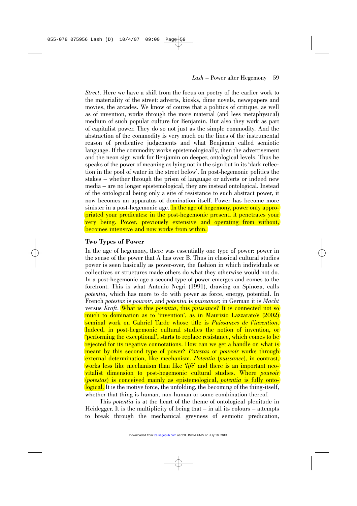*Street*. Here we have a shift from the focus on poetry of the earlier work to the materiality of the street: adverts, kiosks, dime novels, newspapers and movies, the arcades. We know of course that a politics of critique, as well as of invention, works through the more material (and less metaphysical) medium of such popular culture for Benjamin. But also they work as part of capitalist power. They do so not just as the simple commodity. And the abstraction of the commodity is very much on the lines of the instrumental reason of predicative judgements and what Benjamin called semiotic language. If the commodity works epistemologically, then the advertisement and the neon sign work for Benjamin on deeper, ontological levels. Thus he speaks of the power of meaning as lying not in the sign but in its 'dark reflection in the pool of water in the street below'. In post-hegemonic politics the stakes – whether through the prism of language or adverts or indeed new media – are no longer epistemological, they are instead ontological. Instead of the ontological being only a site of resistance to such abstract power, it now becomes an apparatus of domination itself. Power has become more sinister in a post-hegemonic age. In the age of hegemony, power only appropriated your predicates: in the post-hegemonic present, it penetrates your very being. Power, previously extensive and operating from without, becomes intensive and now works from within.

#### **Two Types of Power**

In the age of hegemony, there was essentially one type of power: power in the sense of the power that A has over B. Thus in classical cultural studies power is seen basically as power-over, the fashion in which individuals or collectives or structures made others do what they otherwise would not do. In a post-hegemonic age a second type of power emerges and comes to the forefront. This is what Antonio Negri (1991), drawing on Spinoza, calls *potentia*, which has more to do with power as force, energy, potential. In French *potestas* is *pouvoir*, and *potentia* is *puissance*; in German it is *Macht* versus *Kraft*. What is this *potentia*, this *puissance*? It is connected not so much to domination as to 'invention', as in Maurizio Lazzarato's (2002) seminal work on Gabriel Tarde whose title is *Puissances de l'invention*. Indeed, in post-hegemonic cultural studies the notion of invention, or 'performing the exceptional', starts to replace resistance, which comes to be rejected for its negative connotations. How can we get a handle on what is meant by this second type of power? *Potestas* or *pouvoir* works through external determination, like mechanism. *Potentia* (*puissance*), in contrast, works less like mechanism than like '*life*' and there is an important neovitalist dimension to post-hegemonic cultural studies. Where *pouvoir* (*potestas*) is conceived mainly as epistemological, *potentia* is fully ontological. It is the motive force, the unfolding, the becoming of the thing-itself, whether that thing is human, non-human or some combination thereof.

This *potentia* is at the heart of the theme of ontological plenitude in Heidegger. It is the multiplicity of being that – in all its colours – attempts to break through the mechanical greyness of semiotic predication,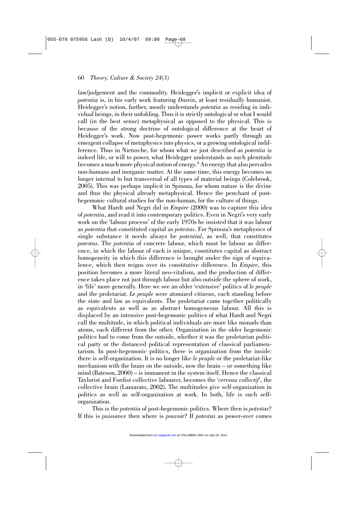law/judgement and the commodity. Heidegger's implicit or explicit idea of *potentia* is, in his early work featuring *Dasein*, at least residually humanist. Heidegger's notion, further, mostly understands *potentia* as residing in individual beings, in their unfolding. Thus it is strictly ontological or what I would call (in the best sense) metaphysical as opposed to the physical. This is because of the strong doctrine of ontological difference at the heart of Heidegger's work. Now post-hegemonic power works partly through an emergent collapse of metaphysics into physics, or a growing ontological indifference. Thus in Nietzsche, for whom what we just described as *potentia* is indeed life, or will to power, what Heidegger understands as such plenitude becomes a much more physical notion of energy.4An energy that also pervades non-humans and inorganic matter. At the same time, this energy becomes no longer internal to but transversal of all types of material beings (Colebrook, 2005). This was perhaps implicit in Spinoza, for whom nature is the divine and thus the physical already metaphysical. Hence the penchant of posthegemonic cultural studies for the non-human, for the culture of things.

What Hardt and Negri did in *Empire* (2000) was to capture this idea of *potentia*, and read it into contemporary politics. Even in Negri's very early work on the 'labour process' of the early 1970s he insisted that it was labour as *potentia* that constituted capital as *potestas*. For Spinoza's metaphysics of single substance it needs always be *potential*, as well, that constitutes *potestas*. The *potentia* of concrete labour, which must be labour as difference, in which the labour of each is unique, constitutes capital as abstract homogeneity in which this difference is brought under the sign of equivalence, which then reigns over its constitutive difference. In *Empire*, this position becomes a more literal neo-vitalism, and the production of difference takes place not just through labour but also outside the sphere of work, in 'life' more generally. Here we see an older 'extensive' politics of *le peuple* and the proletariat. *Le peuple* were atomized citizens, each standing before the state and law as equivalents. The proletariat came together politically as equivalents as well as as abstract homogeneous labour. All this is displaced by an intensive post-hegemonic politics of what Hardt and Negri call the multitude, in which political individuals are more like monads than atoms, each different from the other. Organization in the older hegemonic politics had to come from the outside, whether it was the proletarian political party or the distanced political representation of classical parliamentarism. In post-hegemonic politics, there is organization from the inside: there is self-organization. It is no longer like *le peuple* or the proletariat-like mechanism with the brain on the outside, now the brain – or something like mind (Bateson, 2000) – is immanent in the system itself. Hence the classical Taylorist and Fordist collective labourer, becomes the '*cerveau collectif*', the collective brain (Lazzarato, 2002). The multitudes give self-organization in politics as well as self-organization at work. In both, life is such selforganization.

This is the *potentia* of post-hegemonic politics. Where then is *potestas*? If this is *puissance* then where is *pouvoir*? If *potestas* as power-over comes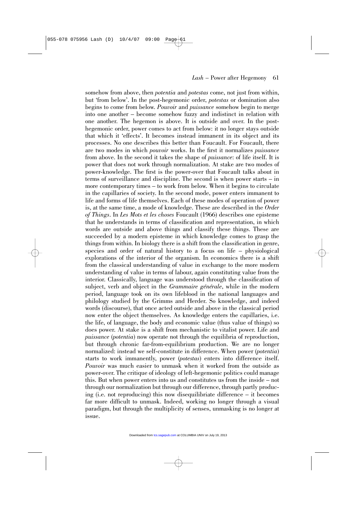somehow from above, then *potentia* and *potestas* come, not just from within, but 'from below'. In the post-hegemonic order, *potestas* or domination also begins to come from below. *Pouvoir* and *puissance* somehow begin to merge into one another – become somehow fuzzy and indistinct in relation with one another. The hegemon is above. It is outside and over. In the posthegemonic order, power comes to act from below: it no longer stays outside that which it 'effects'. It becomes instead immanent in its object and its processes. No one describes this better than Foucault. For Foucault, there are two modes in which *pouvoir* works. In the first it normalizes *puissance* from above. In the second it takes the shape of *puissance*: of life itself. It is power that does not work through normalization. At stake are two modes of power-knowledge. The first is the power-over that Foucault talks about in terms of surveillance and discipline. The second is when power starts – in more contemporary times – to work from below. When it begins to circulate in the capillaries of society. In the second mode, power enters immanent to life and forms of life themselves. Each of these modes of operation of power is, at the same time, a mode of knowledge. These are described in the *Order of Things*. In *Les Mots et les choses* Foucault (1966) describes one episteme that he understands in terms of classification and representation, in which words are outside and above things and classify these things. These are succeeded by a modern episteme in which knowledge comes to grasp the things from within. In biology there is a shift from the classification in genre, species and order of natural history to a focus on life – physiological explorations of the interior of the organism. In economics there is a shift from the classical understanding of value in exchange to the more modern understanding of value in terms of labour, again constituting value from the interior. Classically, language was understood through the classification of subject, verb and object in the *Grammaire générale*, while in the modern period, language took on its own lifeblood in the national languages and philology studied by the Grimms and Herder. So knowledge, and indeed words (discourse), that once acted outside and above in the classical period now enter the object themselves. As knowledge enters the capillaries, i.e. the life, of language, the body and economic value (thus value of things) so does power. At stake is a shift from mechanistic to vitalist power. Life and *puissance* (*potentia*) now operate not through the equilibria of reproduction, but through chronic far-from-equilibrium production. We are no longer normalized: instead we self-constitute in difference. When power (*potentia*) starts to work immanently, power (*potestas*) enters into difference itself. *Pouvoir* was much easier to unmask when it worked from the outside as power-over. The critique of ideology of left-hegemonic politics could manage this. But when power enters into us and constitutes us from the inside – not through our normalization but through our difference, through partly producing (i.e. not reproducing) this now disequilibriate difference – it becomes far more difficult to unmask. Indeed, working no longer through a visual paradigm, but through the multiplicity of senses, unmasking is no longer at issue.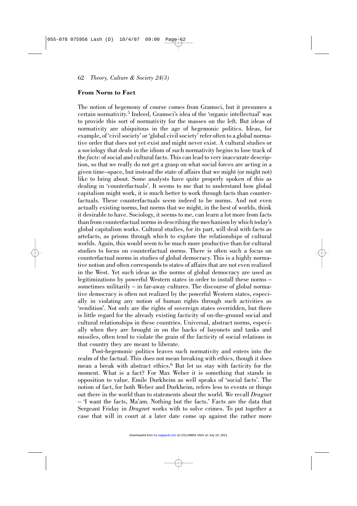#### **From Norm to Fact**

The notion of hegemony of course comes from Gramsci, but it presumes a certain normativity.5 Indeed, Gramsci's idea of the 'organic intellectual' was to provide this sort of normativity for the masses on the left. But ideas of normativity are ubiquitous in the age of hegemonic politics. Ideas, for example, of 'civil society' or 'global civil society' refer often to a global normative order that does not yet exist and might never exist. A cultural studies or a sociology that deals in the idiom of such normativity begins to lose track of the *facts*: of social and cultural facts. This can lead to very inaccurate description, so that we really do not get a grasp on what social forces are acting in a given time–space, but instead the state of affairs that we might (or might not) like to bring about. Some analysts have quite properly spoken of this as dealing in 'counterfactuals'. It seems to me that to understand how global capitalism might work, it is much better to work through facts than counterfactuals. These counterfactuals seem indeed to be norms. And not even actually existing norms, but norms that we might, in the best of worlds, think it desirable to have. Sociology, it seems to me, can learn a lot more from facts than from counterfactual norms in describing the mechanism by which today's global capitalism works. Cultural studies, for its part, will deal with facts as artefacts, as prisms through which to explore the relationships of cultural worlds. Again, this would seem to be much more productive than for cultural studies to focus on counterfactual norms. There is often such a focus on counterfactual norms in studies of global democracy. This is a highly normative notion and often corresponds to states of affairs that are not even realized in the West. Yet such ideas as the norms of global democracy are used as legitimizations by powerful Western states in order to install these norms – sometimes militarily – in far-away cultures. The discourse of global normative democracy is often not realized by the powerful Western states, especially in violating any notion of human rights through such activities as 'rendition'. Not only are the rights of sovereign states overridden, but there is little regard for the already existing facticity of on-the-ground social and cultural relationships in these countries. Universal, abstract norms, especially when they are brought in on the backs of bayonets and tanks and missiles, often tend to violate the grain of the facticity of social relations in that country they are meant to liberate.

Post-hegemonic politics leaves such normativity and enters into the realm of the factual. This does not mean breaking with ethics, though it does mean a break with abstract ethics.6 But let us stay with facticity for the moment. What is a fact? For Max Weber it is something that stands in opposition to value. Emile Durkheim as well speaks of 'social facts'. The notion of fact, for both Weber and Durkheim, refers less to events or things out there in the world than to statements about the world. We recall *Dragnet* – 'I want the facts, Ma'am. Nothing but the facts.' Facts are the data that Sergeant Friday in *Dragnet* works with to solve crimes. To put together a case that will in court at a later date come up against the rather more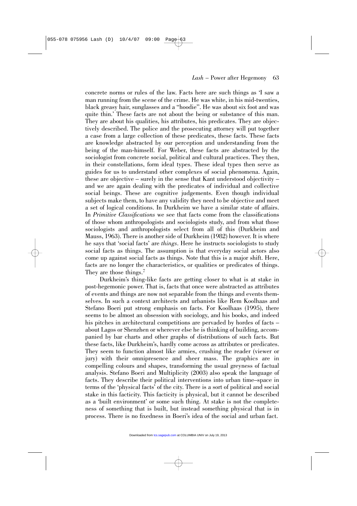concrete norms or rules of the law. Facts here are such things as 'I saw a man running from the scene of the crime. He was white, in his mid-twenties, black greasy hair, sunglasses and a "hoodie". He was about six foot and was quite thin.' These facts are not about the being or substance of this man. They are about his qualities, his attributes, his predicates. They are objectively described. The police and the prosecuting attorney will put together a case from a large collection of these predicates, these facts. These facts are knowledge abstracted by our perception and understanding from the being of the man-himself. For Weber, these facts are abstracted by the sociologist from concrete social, political and cultural practices. They then, in their constellations, form ideal types. These ideal types then serve as guides for us to understand other complexes of social phenomena. Again, these are objective – surely in the sense that Kant understood objectivity – and we are again dealing with the predicates of individual and collective social beings. These are cognitive judgements. Even though individual subjects make them, to have any validity they need to be objective and meet a set of logical conditions. In Durkheim we have a similar state of affairs. In *Primitive Classifications* we see that facts come from the classifications of those whom anthropologists and sociologists study, and from what those sociologists and anthropologists select from all of this (Durkheim and Mauss, 1963). There is another side of Durkheim (1982) however. It is where he says that 'social facts' are *things*. Here he instructs sociologists to study social facts as things. The assumption is that everyday social actors also come up against social facts as things. Note that this is a major shift. Here, facts are no longer the characteristics, or qualities or predicates of things. They are those things.<sup>7</sup>

Durkheim's thing-like facts are getting closer to what is at stake in post-hegemonic power. That is, facts that once were abstracted as attributes of events and things are now not separable from the things and events themselves. In such a context architects and urbanists like Rem Koolhaas and Stefano Boeri put strong emphasis on facts. For Koolhaas (1995), there seems to be almost an obsession with sociology, and his books, and indeed his pitches in architectural competitions are pervaded by hordes of facts – about Lagos or Shenzhen or wherever else he is thinking of building, accompanied by bar charts and other graphs of distributions of such facts. But these facts, like Durkheim's, hardly come across as attributes or predicates. They seem to function almost like armies, crushing the reader (viewer or jury) with their omnipresence and sheer mass. The graphics are in compelling colours and shapes, transforming the usual greyness of factual analysis. Stefano Boeri and Multiplicity (2003) also speak the language of facts. They describe their political interventions into urban time–space in terms of the 'physical facts' of the city. There is a sort of political and social stake in this facticity. This facticity is physical, but it cannot be described as a 'built environment' or some such thing. At stake is not the completeness of something that is built, but instead something physical that is in process. There is no fixedness in Boeri's idea of the social and urban fact.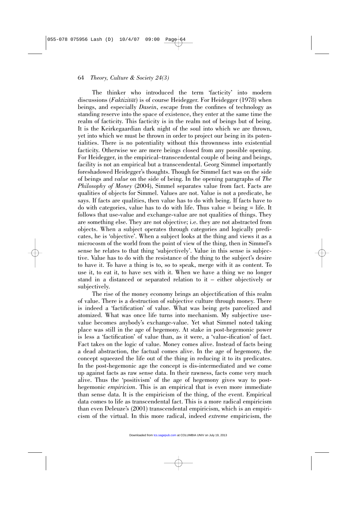The thinker who introduced the term 'facticity' into modern discussions (*Faktizität*) is of course Heidegger. For Heidegger (1978) when beings, and especially *Dasein*, escape from the confines of technology as standing reserve into the space of existence, they enter at the same time the realm of facticity. This facticity is in the realm not of beings but of being. It is the Keirkegaardian dark night of the soul into which we are thrown, yet into which we must be thrown in order to project our being in its potentialities. There is no potentiality without this thrownness into existential facticity. Otherwise we are mere beings closed from any possible opening. For Heidegger, in the empirical–transcendental couple of being and beings, facility is not an empirical but a transcendental. Georg Simmel importantly foreshadowed Heidegger's thoughts. Though for Simmel fact was on the side of beings and *value* on the side of being. In the opening paragraphs of *The Philosophy of Money* (2004), Simmel separates value from fact. Facts are qualities of objects for Simmel. Values are not. Value is not a predicate, he says. If facts are qualities, then value has to do with being. If facts have to do with categories, value has to do with life. Thus value = being = life. It follows that use-value and exchange-value are not qualities of things. They are something else. They are not objective; i.e. they are not abstracted from objects. When a subject operates through categories and logically predicates, he is 'objective'. When a subject looks at the thing and views it as a microcosm of the world from the point of view of the thing, then in Simmel's sense he relates to that thing 'subjectively'. Value in this sense is subjective. Value has to do with the resistance of the thing to the subject's desire to have it. To have a thing is to, so to speak, merge with it as content. To use it, to eat it, to have sex with it. When we have a thing we no longer stand in a distanced or separated relation to it – either objectively or subjectively.

The rise of the money economy brings an objectification of this realm of value. There is a destruction of subjective culture through money. There is indeed a 'factification' of value. What was being gets parcelized and atomized. What was once life turns into mechanism. My subjective usevalue becomes anybody's exchange-value. Yet what Simmel noted taking place was still in the age of hegemony. At stake in post-hegemonic power is less a 'factification' of value than, as it were, a 'value-ification' of fact. Fact takes on the logic of value. Money comes alive. Instead of facts being a dead abstraction, the factual comes alive. In the age of hegemony, the concept squeezed the life out of the thing in reducing it to its predicates. In the post-hegemonic age the concept is dis-intermediated and we come up against facts as raw sense data. In their rawness, facts come very much alive. Thus the 'positivism' of the age of hegemony gives way to posthegemonic *empiricism*. This is an empirical that is even more immediate than sense data. It is the empiricism of the thing, of the event. Empirical data comes to life as transcendental fact. This is a more radical empiricism than even Deleuze's (2001) transcendental empiricism, which is an empiricism of the virtual. In this more radical, indeed *extreme* empiricism, the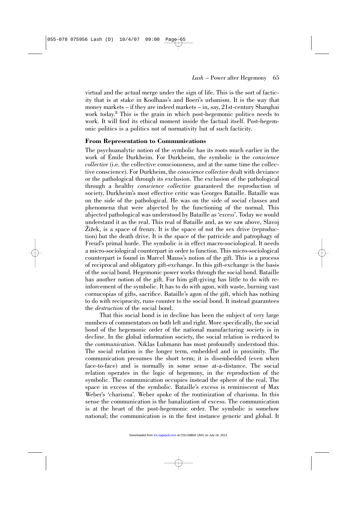virtual and the actual merge under the sign of life. This is the sort of facticity that is at stake in Koolhaas's and Boeri's urbanism. It is the way that money markets – if they are indeed markets – in, say, 21st-century Shanghai work today.8 This is the grain in which post-hegemonic politics needs to work. It will find its ethical moment inside the factual itself. Post-hegemonic politics is a politics not of normativity but of such facticity.

#### **From Representation to Communications**

The psychoanalytic notion of the symbolic has its roots much earlier in the work of Émile Durkheim. For Durkheim, the symbolic is the *conscience collective* (i.e. the collective consciousness, and at the same time the collective conscience). For Durkheim, the *conscience collective* dealt with deviance or the pathological through its exclusion. The exclusion of the pathological through a healthy *conscience collective* guaranteed the reproduction of society. Durkheim's most effective critic was Georges Bataille. Bataille was on the side of the pathological. He was on the side of social classes and phenomena that were abjected by the functioning of the normal. This abjected pathological was understood by Bataille as '*excess*'. Today we would understand it as the real. This real of Bataille and, as we saw above, Slavoj  $\check{Z}$ ižek, is a space of frenzy. It is the space of not the sex drive (reproduction) but the death drive. It is the space of the patricide and patrophagy of Freud's primal horde. The symbolic is in effect macro-sociological. It needs a micro-sociological counterpart in order to function. This micro-sociological counterpart is found in Marcel Mauss's notion of the gift. This is a process of reciprocal and obligatory gift-exchange. In this gift-exchange is the basis of the social bond. Hegemonic power works through the social bond. Bataille has another notion of the gift. For him gift-giving has little to do with reinforcement of the symbolic. It has to do with agon, with waste, burning vast cornucopias of gifts, sacrifice. Bataille's agon of the gift, which has nothing to do with reciprocity, runs counter to the social bond. It instead guarantees the *destruction* of the social bond.

That this social bond is in decline has been the subject of very large numbers of commentators on both left and right. More specifically, the social bond of the hegemonic order of the national manufacturing society is in decline. In the global information society, the social relation is reduced to the *communication*. Niklas Luhmann has most profoundly understood this. The social relation is the longer term, embedded and in proximity. The communication presumes the short term; it is disembedded (even when face-to-face) and is normally in some sense at-a-distance. The social relation operates in the logic of hegemony, in the reproduction of the symbolic. The communication occupies instead the sphere of the real. The space in excess of the symbolic. Bataille's excess is reminiscent of Max Weber's 'charisma'. Weber spoke of the routinization of charisma. In this sense the communication is the banalization of excess. The communication is at the heart of the post-hegemonic order. The symbolic is somehow national; the communication is in the first instance generic and global. It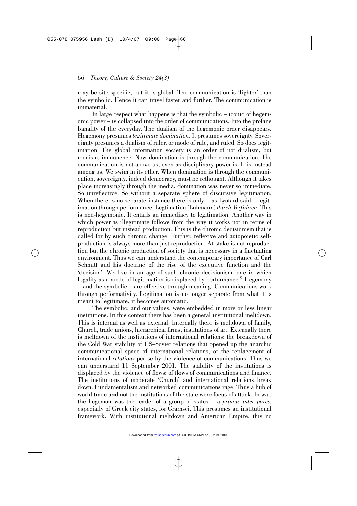may be site-specific, but it is global. The communication is 'lighter' than the symbolic. Hence it can travel faster and further. The communication is immaterial.

In large respect what happens is that the symbolic – iconic of hegemonic power – is collapsed into the order of communications. Into the profane banality of the everyday. The dualism of the hegemonic order disappears. Hegemony presumes *legitimate domination*. It presumes sovereignty. Sovereignty presumes a dualism of ruler, or mode of rule, and ruled. So does legitimation. The global information society is an order of not dualism, but monism, immanence. Now domination is through the communication. The communication is not above us, even as disciplinary power is. It is instead among us. We swim in its ether. When domination is through the communication, sovereignty, indeed democracy, must be rethought. Although it takes place increasingly through the media, domination was never so immediate. So unreflective. So without a separate sphere of discursive legitimation. When there is no separate instance there is only  $-$  as Lyotard said  $-$  legitimation through performance. Legtimation (Luhmann) *durch Verfahren*. This is non-hegemonic. It entails an immediacy to legitimation. Another way in which power is illegitimate follows from the way it works not in terms of reproduction but instead production. This is the chronic decisionism that is called for by such chronic change. Further, reflexive and autopoietic selfproduction is always more than just reproduction. At stake is not reproduction but the chronic production of society that is necessary in a fluctuating environment. Thus we can understand the contemporary importance of Carl Schmitt and his doctrine of the rise of the executive function and the 'decision'. We live in an age of such chronic decisionism: one in which legality as a mode of legitimation is displaced by performance.9 Hegemony – and the symbolic – are effective through meaning. Communications work through performativity. Legitimation is no longer separate from what it is meant to legitimate, it becomes automatic.

The symbolic, and our values, were embedded in more or less linear institutions. In this context there has been a general institutional meltdown. This is internal as well as external. Internally there is meltdown of family, Church, trade unions, hierarchical firms, institutions of art. Externally there is meltdown of the institutions of international relations: the breakdown of the Cold War stability of US–Soviet relations that opened up the anarchic communicational space of international relations, or the replacement of international *relations* per se by the violence of communications. Thus we can understand 11 September 2001. The stability of the institutions is displaced by the violence of flows: of flows of communications and finance. The institutions of moderate 'Church' and international relations break down. Fundamentalism and networked communications rage. Thus a hub of world trade and not the institutions of the state were focus of attack. In war, the hegemon was the leader of a group of states – a *primus inter pares*; especially of Greek city states, for Gramsci. This presumes an institutional framework. With institutional meltdown and American Empire, this no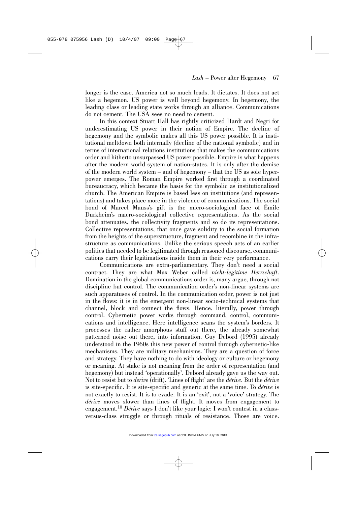longer is the case. America not so much leads. It dictates. It does not act like a hegemon. US power is well beyond hegemony. In hegemony, the leading class or leading state works through an alliance. Communications do not cement. The USA sees no need to cement.

In this context Stuart Hall has rightly criticized Hardt and Negri for underestimating US power in their notion of Empire. The decline of hegemony and the symbolic makes all this US power possible. It is institutional meltdown both internally (decline of the national symbolic) and in terms of international relations institutions that makes the communications order and hitherto unsurpassed US power possible. Empire is what happens after the modern world system of nation-states. It is only after the demise of the modern world system – and of hegemony – that the US as sole hyperpower emerges. The Roman Empire worked first through a coordinated bureaucracy, which became the basis for the symbolic as institutionalized church. The American Empire is based less on institutions (and representations) and takes place more in the violence of communications. The social bond of Marcel Mauss's gift is the micro-sociological face of Émile Durkheim's macro-sociological collective representations. As the social bond attenuates, the collectivity fragments and so do its representations. Collective representations, that once gave solidity to the social formation from the heights of the superstructure, fragment and recombine in the infrastructure as communications. Unlike the serious speech acts of an earlier politics that needed to be legitimated through reasoned discourse, communications carry their legitimations inside them in their very performance.

Communications are extra-parliamentary. They don't need a social contract. They are what Max Weber called *nicht-legitime Herrschaft*. Domination in the global communications order is, many argue, through not discipline but control. The communication order's non-linear systems are such apparatuses of control. In the communication order, power is not just in the flows: it is in the emergent non-linear socio-technical systems that channel, block and connect the flows. Hence, literally, power through control. Cybernetic power works through command, control, communications and intelligence. Here intelligence scans the system's borders. It processes the rather amorphous stuff out there, the already somewhat patterned noise out there, into information. Guy Debord (1995) already understood in the 1960s this new power of control through cybernetic-like mechanisms. They are military mechanisms. They are a question of force and strategy. They have nothing to do with ideology or culture or hegemony or meaning. At stake is not meaning from the order of representation (and hegemony) but instead 'operationally'. Debord already gave us the way out. Not to resist but to *derive* (drift). 'Lines of flight' are the *dérive*. But the *dérive* is site-specific. It is site-specific and generic at the same time. To *dérive* is not exactly to resist. It is to evade. It is an 'exit', not a 'voice' strategy. The *dérive* moves slower than lines of flight. It moves from engagement to engagement.10 *Dérive* says I don't like your logic: I won't contest in a classversus-class struggle or through rituals of resistance. Those are voice.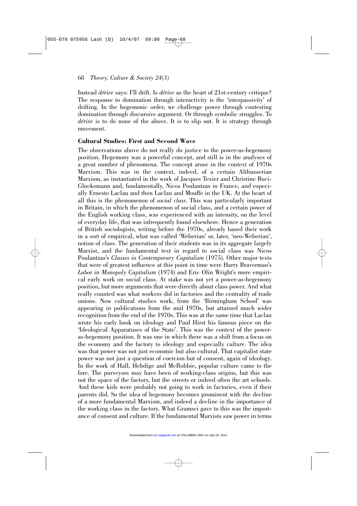Instead *dérive* says: I'll drift. Is *dérive* as the heart of 21st-century critique? The response to domination through interactivity is the 'interpassivity' of drifting. In the hegemonic order, we challenge power through contesting domination through discursive argument. Or through symbolic struggles. To *dérive* is to do none of the above. It is to slip out. It is strategy through movement.

#### **Cultural Studies: First and Second Wave**

The observations above do not really do justice to the power-as-hegemony position. Hegemony was a powerful concept, and still is in the analyses of a great number of phenomena. The concept arose in the context of 1970s Marxism. This was in the context, indeed, of a certain Althusserian Marxism, as instantiated in the work of Jacques Texier and Christine Buci-Glucksmann and, fundamentally, Nicos Poulantzas in France, and especially Ernesto Laclau and then Laclau and Mouffe in the UK. At the heart of all this is the phenomenon of *social class*. This was particularly important in Britain, in which the phenomenon of social class, and a certain power of the English working class, was experienced with an intensity, on the level of everyday life, that was infrequently found elsewhere. Hence a generation of British sociologists, writing before the 1970s, already based their work in a sort of empirical, what was called 'Weberian' or, later, 'neo-Weberian', notion of class. The generation of their students was in its aggregate largely Marxist, and the fundamental text in regard to social class was Nicos Poulantzas's *Classes in Contemporary Capitalism* (1975). Other major texts that were of greatest influence at this point in time were Harry Braverman's *Labor in Monopoly Capitalism* (1974) and Eric Olin Wright's more empirical early work on social class. At stake was not yet a power-as-hegemony position, but more arguments that were directly about class power. And what really counted was what workers did in factories and the centrality of trade unions. Now cultural studies work, from the 'Birmingham School' was appearing in publications from the mid 1970s, but attained much wider recognition from the end of the 1970s. This was at the same time that Laclau wrote his early book on ideology and Paul Hirst his famous piece on the 'Ideological Apparatuses of the State'. This was the context of the poweras-hegemony position. It was one in which there was a shift from a focus on the economy and the factory to ideology and especially *culture*. The idea was that power was not just economic but also cultural. That capitalist state power was not just a question of coercion but of consent, again of ideology. In the work of Hall, Hebdige and McRobbie, popular culture came to the fore. The purveyors may have been of working-class origins, but this was not the space of the factory, but the streets or indeed often the art schools. And these kids were probably not going to work in factories, even if their parents did. So the idea of hegemony becomes prominent with the decline of a more fundamental Marxism, and indeed a decline in the importance of the working class in the factory. What Gramsci gave to this was the importance of consent and culture. If the fundamental Marxists saw power in terms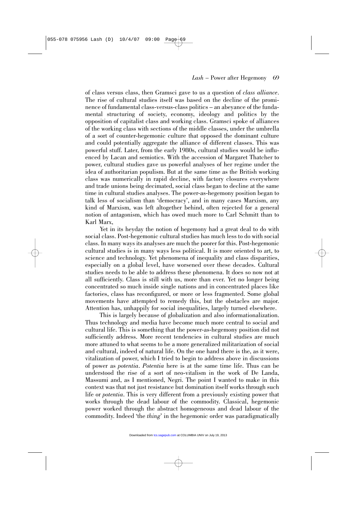of class versus class, then Gramsci gave to us a question of *class alliance*. The rise of cultural studies itself was based on the decline of the prominence of fundamental class-versus-class politics – an abeyance of the fundamental structuring of society, economy, ideology and politics by the opposition of capitalist class and working class. Gramsci spoke of alliances of the working class with sections of the middle classes, under the umbrella of a sort of counter-hegemonic culture that opposed the dominant culture and could potentially aggregate the alliance of different classes. This was powerful stuff. Later, from the early 1980s, cultural studies would be influenced by Lacan and semiotics. With the accession of Margaret Thatcher to power, cultural studies gave us powerful analyses of her regime under the idea of authoritarian populism. But at the same time as the British working class was numerically in rapid decline, with factory closures everywhere and trade unions being decimated, social class began to decline at the same time in cultural studies analyses. The power-as-hegemony position began to talk less of socialism than 'democracy', and in many cases Marxism, any kind of Marxism, was left altogether behind, often rejected for a general notion of antagonism, which has owed much more to Carl Schmitt than to Karl Marx,

Yet in its heyday the notion of hegemony had a great deal to do with social class. Post-hegemonic cultural studies has much less to do with social class. In many ways its analyses are much the poorer for this. Post-hegemonic cultural studies is in many ways less political. It is more oriented to art, to science and technology. Yet phenomena of inequality and class disparities, especially on a global level, have worsened over these decades. Cultural studies needs to be able to address these phenomena. It does so now not at all sufficiently. Class is still with us, more than ever. Yet no longer being concentrated so much inside single nations and in concentrated places like factories, class has reconfigured, or more or less fragmented. Some global movements have attempted to remedy this, but the obstacles are major. Attention has, unhappily for social inequalities, largely turned elsewhere.

This is largely because of globalization and also informationalization. Thus technology and media have become much more central to social and cultural life. This is something that the power-as-hegemony position did not sufficiently address. More recent tendencies in cultural studies are much more attuned to what seems to be a more generalized militarization of social and cultural, indeed of natural life. On the one hand there is the, as it were, vitalization of power, which I tried to begin to address above in discussions of power as *potentia*. *Potentia* here is at the same time life. Thus can be understood the rise of a sort of neo-vitalism in the work of De Landa, Massumi and, as I mentioned, Negri. The point I wanted to make in this context was that not just resistance but domination itself works through such life or *potentia*. This is very different from a previously existing power that works through the dead labour of the commodity. Classical, hegemonic power worked through the abstract homogeneous and dead labour of the commodity. Indeed 'the *thing*' in the hegemonic order was paradigmatically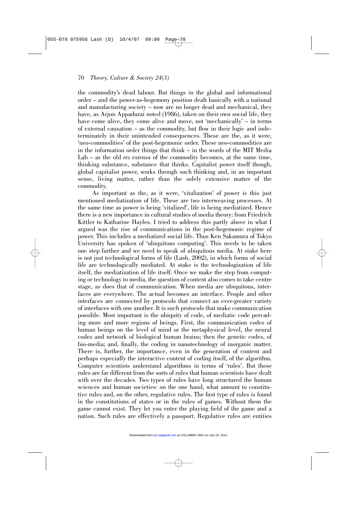the commodity's dead labour. But things in the global and informational order – and the power-as-hegemony position dealt basically with a national and manufacturing society – now are no longer dead and mechanical, they have, as Arjun Appadurai noted (1986), taken on their own social life, they have come alive, they come alive and move, not 'mechanically' – in terms of external causation – as the commodity, but flow in their logic and indeterminately in their unintended consequences. These are the, as it were, 'neo-commodities' of the post-hegemonic order. These neo-commodities are in the information order things that think – in the words of the MIT Media Lab – as the old *res extensa* of the commodity becomes, at the same time, thinking substance, substance that thinks. Capitalist power itself though, global capitalist power, works through such thinking and, in an important sense, living matter, rather than the solely extensive matter of the commodity.

As important as the, as it were, 'vitalization' of power is this just mentioned mediatization of life. These are two interweaving processes. At the same time as power is being 'vitalized', life is being mediatized. Hence there is a new importance in cultural studies of media theory: from Friedrich Kittler to Katharine Hayles. I tried to address this partly above in what I argued was the rise of communications in the post-hegemonic regime of power. This includes a mediatized social life. Thus Ken Sakamura of Tokyo University has spoken of 'ubiquitous computing'. This needs to be taken one step further and we need to speak of ubiquitous media. At stake here is not just technological forms of life (Lash, 2002), in which forms of social life are technologically mediated. At stake is the technologization of life itself, the mediatization of life itself. Once we make the step from computing or technology to media, the question of content also comes to take centre stage, as does that of communication. When media are ubiquitous, interfaces are everywhere. The actual becomes an interface. People and other interfaces are connected by protocols that connect an ever-greater variety of interfaces with one another. It is such protocols that make communication possible. Most important is the ubiquity of code, of mediatic code pervading more and more regions of beings. First, the communication codes of human beings on the level of mind or the metaphysical level, the neural codes and network of biological human brains; then the genetic codes, of bio-media; and, finally, the coding in nanotechnology of inorganic matter. There is, further, the importance, even in the generation of content and perhaps especially the interactive content of coding itself, of the algorithm. Computer scientists understand algorithms in terms of 'rules'. But these rules are far different from the sorts of rules that human scientists have dealt with over the decades. Two types of rules have long structured the human sciences and human societies: on the one hand, what amount to constitutive rules and, on the other, regulative rules. The first type of rules is found in the constitutions of states or in the rules of games. Without them the game cannot exist. They let you enter the playing field of the game and a nation. Such rules are effectively a passport. Regulative rules are entities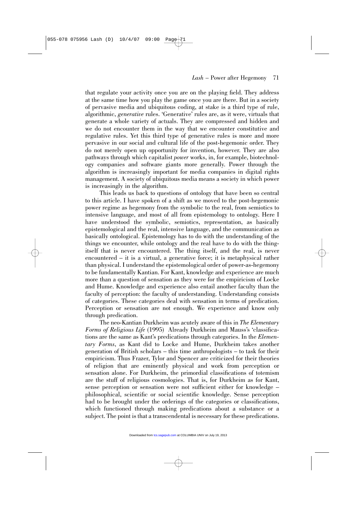that regulate your activity once you are on the playing field. They address at the same time how you play the game once you are there. But in a society of pervasive media and ubiquitous coding, at stake is a third type of rule, algorithmic, *generative* rules. 'Generative' rules are, as it were, virtuals that generate a whole variety of actuals. They are compressed and hidden and we do not encounter them in the way that we encounter constitutive and regulative rules. Yet this third type of generative rules is more and more pervasive in our social and cultural life of the post-hegemonic order. They do not merely open up opportunity for invention, however. They are also pathways through which capitalist *power* works, in, for example, biotechnology companies and software giants more generally. Power through the algorithm is increasingly important for media companies in digital rights management. A society of ubiquitous media means a society in which power is increasingly in the algorithm.

This leads us back to questions of ontology that have been so central to this article. I have spoken of a shift as we moved to the post-hegemonic power regime as hegemony from the symbolic to the real, from semiotics to intensive language, and most of all from epistemology to ontology. Here I have understood the symbolic, semiotics, representation, as basically epistemological and the real, intensive language, and the communication as basically ontological. Epistemology has to do with the understanding of the things we encounter, while ontology and the real have to do with the thingitself that is never encountered. The thing itself, and the real, is never encountered – it is a virtual, a generative force; it is metaphysical rather than physical. I understand the epistemological order of power-as-hegemony to be fundamentally Kantian. For Kant, knowledge and experience are much more than a question of sensation as they were for the empiricism of Locke and Hume. Knowledge and experience also entail another faculty than the faculty of perception: the faculty of understanding. Understanding consists of categories. These categories deal with sensation in terms of predication. Perception or sensation are not enough. We experience and know only through predication.

The neo-Kantian Durkheim was acutely aware of this in *The Elementary Forms of Religious Life* (1995) Already Durkheim and Mauss's 'classifications are the same as Kant's predications through categories. In the *Elementary Forms*, as Kant did to Locke and Hume, Durkheim takes another generation of British scholars – this time anthropologists – to task for their empiricism. Thus Frazer, Tylor and Spencer are criticized for their theories of religion that are eminently physical and work from perception or sensation alone. For Durkheim, the primordial classifications of totemism are the stuff of religious cosmologies. That is, for Durkheim as for Kant, sense perception or sensation were not sufficient either for knowledge – philosophical, scientific or social scientific knowledge. Sense perception had to be brought under the orderings of the categories or classifications, which functioned through making predications about a substance or a subject. The point is that a transcendental is necessary for these predications.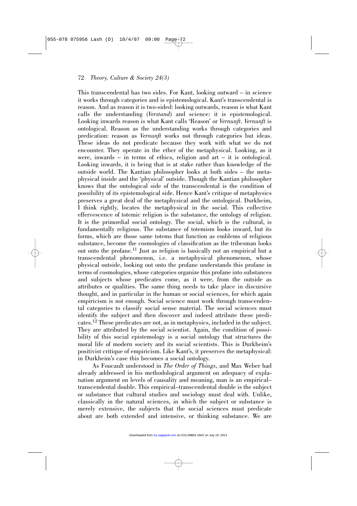This transcendental has two sides. For Kant, looking outward – in science it works through categories and is epistemological. Kant's transcendental is reason. And as reason it is two-sided: looking outwards, reason is what Kant calls the understanding (*Verstand*) and science: it is epistemological. Looking inwards reason is what Kant calls 'Reason' or *Vernunft*. *Vernunft* is ontological. Reason as the understanding works through categories and predication: reason as *Vernunft* works not through categories but ideas. These ideas do not predicate because they work with what we do not encounter. They operate in the ether of the metaphysical. Looking, as it were, inwards – in terms of ethics, religion and art – it is ontological. Looking inwards, it is being that is at stake rather than knowledge of the outside world. The Kantian philosopher looks at both sides – the metaphysical inside and the 'physical' outside. Though the Kantian philosopher knows that the ontological side of the transcendental is the condition of possibility of its epistemological side. Hence Kant's critique of metaphysics preserves a great deal of the metaphysical and the ontological. Durkheim, I think rightly, locates the metaphysical in the social. This collective effervescence of totemic religion is the substance, the ontology of religion. It is the primordial social ontology. The social, which is the cultural, is fundamentally religious. The substance of totemism looks inward, but its forms, which are those same totems that function as emblems of religious substance, become the cosmologies of classification as the tribesman looks out onto the profane.11 Just as religion is basically not an empirical but a transcendental phenomenon, i.e. a metaphysical phenomenon, whose physical outside, looking out onto the profane understands this profane in terms of cosmologies, whose categories organize this profane into substances and subjects whose predicates come, as it were, from the outside as attributes or qualities. The same thing needs to take place in discursive thought, and in particular in the human or social sciences, for which again empiricism is not enough. Social science must work through transcendental categories to classify social sense material. The social sciences must identify the subject and then discover and indeed attribute these predicates.12 These predicates are not, as in metaphysics, included in the subject. They are attributed by the social scientist. Again, the condition of possibility of this social epistemology is a social ontology that structures the moral life of modern society and its social scientists. This is Durkheim's positivist critique of empiricism. Like Kant's, it preserves the metaphysical: in Durkheim's case this becomes a social ontology.

As Foucault understood in *The Order of Things*, and Max Weber had already addressed in his methodological argument on adequacy of explanation argument on levels of causality and meaning, man is an empirical– transcendental double. This empirical–transcendental double is the subject or substance that cultural studies and sociology must deal with. Unlike, classically in the natural sciences, in which the subject or substance is merely extensive, the subjects that the social sciences must predicate about are both extended and intensive, or thinking substance. We are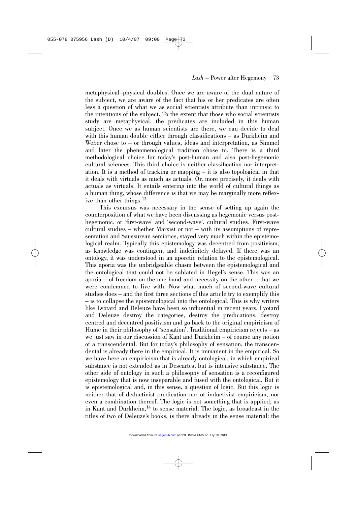metaphysical–physical doubles. Once we are aware of the dual nature of the subject, we are aware of the fact that his or her predicates are often less a question of what we as social scientists attribute than intrinsic to the intentions of the subject. To the extent that those who social scientists study are metaphysical, the predicates are included in this human subject. Once we as human scientists are there, we can decide to deal with this human double either through classifications – as Durkheim and Weber chose to – or through values, ideas and interpretation, as Simmel and later the phenomenological tradition chose to. There is a third methodological choice for today's post-human and also post-hegemonic cultural sciences. This third choice is neither classification nor interpretation. It is a method of tracking or mapping – it is also topological in that it deals with virtuals as much as actuals. Or, more precisely, it deals with actuals as virtuals. It entails entering into the world of cultural things as a human thing, whose difference is that we may be marginally more reflexive than other things.<sup>13</sup>

This excursus was necessary in the sense of setting up again the counterposition of what we have been discussing as hegemonic versus posthegemonic, or 'first-wave' and 'second-wave', cultural studies. First-wave cultural studies – whether Marxist or not – with its assumptions of representation and Saussurean semiotics, stayed very much within the epistemological realm. Typically this epistemology was decentred from positivism, as knowledge was contingent and indefinitely delayed. If there was an ontology, it was understood in an aporetic relation to the epistemological. This aporia was the unbridgeable chasm between the epistemological and the ontological that could not be sublated in Hegel's sense. This was an aporia – of freedom on the one hand and necessity on the other – that we were condemned to live with. Now what much of second-wave cultural studies does – and the first three sections of this article try to exemplify this – is to collapse the epistemological into the ontological. This is why writers like Lyotard and Deleuze have been so influential in recent years. Lyotard and Deleuze destroy the categories, destroy the predications, destroy centred and decentred positivism and go back to the original empiricism of Hume in their philosophy of 'sensation'. Traditional empiricism rejects – as we just saw in our discussion of Kant and Durkheim – of course any notion of a transcendental. But for today's philosophy of sensation, the transcendental is already there in the empirical. It is immanent in the empirical. So we have here an empiricism that is already ontological, in which empirical substance is not extended as in Descartes, but is intensive substance. The other side of ontology in such a philosophy of sensation is a reconfigured epistemology that is now inseparable and fused with the ontological. But it is epistemological and, in this sense, a question of logic. But this logic is neither that of deductivist predication nor of inductivist empiricism, nor even a combination thereof. The logic is not something that is applied, as in Kant and Durkheim,<sup>14</sup> to sense material. The logic, as broadcast in the titles of two of Deleuze's books, is there already in the sense material: the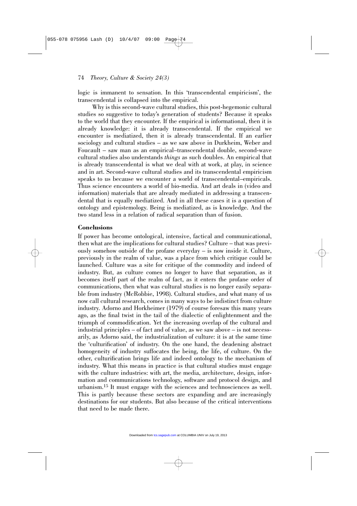logic is immanent to sensation. In this 'transcendental empiricism', the transcendental is collapsed into the empirical.

Why is this second-wave cultural studies, this post-hegemonic cultural studies so suggestive to today's generation of students? Because it speaks to the world that they encounter. If the empirical is informational, then it is already knowledge: it is already transcendental. If the empirical we encounter is mediatized, then it is already transcendental. If an earlier sociology and cultural studies – as we saw above in Durkheim, Weber and Foucault – saw man as an empirical–transcendental double, second-wave cultural studies also understands *things* as such doubles. An empirical that is already transcendental is what we deal with at work, at play, in science and in art. Second-wave cultural studies and its transcendental empiricism speaks to us because we encounter a world of transcendental–empiricals. Thus science encounters a world of bio-media. And art deals in (video and information) materials that are already mediated in addressing a transcendental that is equally mediatized. And in all these cases it is a question of ontology and epistemology. Being is mediatized, as is knowledge. And the two stand less in a relation of radical separation than of fusion.

#### **Conclusions**

If power has become ontological, intensive, factical and communicational, then what are the implications for cultural studies? Culture – that was previously somehow outside of the profane everyday – is now inside it. Culture, previously in the realm of value, was a place from which critique could be launched. Culture was a site for critique of the commodity and indeed of industry. But, as culture comes no longer to have that separation, as it becomes itself part of the realm of fact, as it enters the profane order of communications, then what was cultural studies is no longer easily separable from industry (McRobbie, 1998). Cultural studies, and what many of us now call cultural research, comes in many ways to be indistinct from culture industry. Adorno and Horkheimer (1979) of course foresaw this many years ago, as the final twist in the tail of the dialectic of enlightenment and the triumph of commodification. Yet the increasing overlap of the cultural and industrial principles – of fact and of value, as we saw above – is not necessarily, as Adorno said, the industrialization of culture: it is at the same time the 'culturification' of industry. On the one hand, the deadening abstract homogeneity of industry suffocates the being, the life, of culture. On the other, culturification brings life and indeed ontology to the mechanism of industry. What this means in practice is that cultural studies must engage with the culture industries: with art, the media, architecture, design, information and communications technology, software and protocol design, and urbanism.15 It must engage with the sciences and technosciences as well. This is partly because these sectors are expanding and are increasingly destinations for our students. But also because of the critical interventions that need to be made there.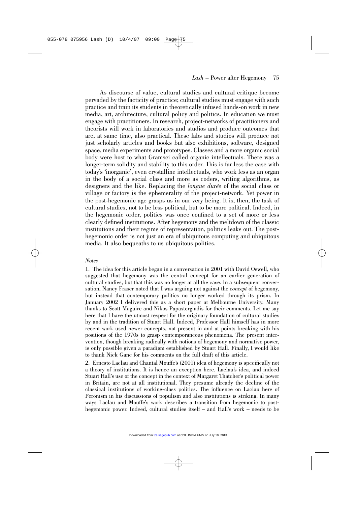As discourse of value, cultural studies and cultural critique become pervaded by the facticity of practice; cultural studies must engage with such practice and train its students in theoretically infused hands-on work in new media, art, architecture, cultural policy and politics. In education we must engage with practitioners. In research, project-networks of practitioners and theorists will work in laboratories and studios and produce outcomes that are, at same time, also practical. These labs and studios will produce not just scholarly articles and books but also exhibitions, software, designed space, media experiments and prototypes. Classes and a more organic social body were host to what Gramsci called organic intellectuals. There was a longer-term solidity and stability to this order. This is far less the case with today's 'inorganic', even crystalline intellectuals, who work less as an organ in the body of a social class and more as coders, writing algorithms, as designers and the like. Replacing the *longue durée* of the social class or village or factory is the ephemerality of the project-network. Yet power in the post-hegemonic age grasps us in our very being. It is, then, the task of cultural studies, not to be less political, but to be more political. Indeed, in the hegemonic order, politics was once confined to a set of more or less clearly defined institutions. After hegemony and the meltdown of the classic institutions and their regime of representation, politics leaks out. The posthegemonic order is not just an era of ubiquitous computing and ubiquitous media. It also bequeaths to us ubiquitous politics.

#### *Notes*

1. The idea for this article began in a conversation in 2001 with David Oswell, who suggested that hegemony was the central concept for an earlier generation of cultural studies, but that this was no longer at all the case. In a subsequent conversation, Nancy Fraser noted that I was arguing not against the *concept* of hegemony, but instead that contemporary politics no longer worked through its prism. In January 2002 I delivered this as a short paper at Melbourne University. Many thanks to Scott Maguire and Nikos Papastergiadis for their comments. Let me say here that I have the utmost respect for the originary foundation of cultural studies by and in the tradition of Stuart Hall. Indeed, Professor Hall himself has in more recent work used newer concepts, not present in and at points breaking with his positions of the 1970s to grasp contemporaneous phenomena. The present intervention, though breaking radically with notions of hegemony and normative power, is only possible given a paradigm established by Stuart Hall. Finally, I would like to thank Nick Gane for his comments on the full draft of this article.

2. Ernesto Laclau and Chantal Mouffe's (2001) idea of hegemony is specifically not a theory of institutions. It is hence an exception here. Laclau's idea, and indeed Stuart Hall's use of the concept in the context of Margaret Thatcher's political power in Britain, are not at all institutional. They presume already the decline of the classical institutions of working-class politics. The influence on Laclau here of Peronism in his discussions of populism and also institutions is striking. In many ways Laclau and Mouffe's work describes a transition from hegemonic to posthegemonic power. Indeed, cultural studies itself – and Hall's work – needs to be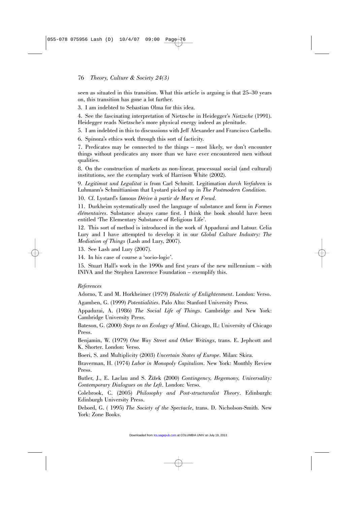seen as situated in this transition. What this article is arguing is that 25–30 years on, this transition has gone a lot further.

3. I am indebted to Sebastian Olma for this idea.

4. See the fascinating interpretation of Nietzsche in Heidegger's *Nietzsche* (1991). Heidegger reads Nietzsche's more physical energy indeed as plenitude.

5. I am indebted in this to discussions with Jeff Alexander and Francisco Carbello.

6. Spinoza's ethics work through this sort of facticity.

7. Predicates may be connected to the things – most likely, we don't encounter things without predicates any more than we have ever encountered men without qualities.

8. On the construction of markets as non-linear, processual social (and cultural) institutions, see the exemplary work of Harrison White (2002).

9. *Legitimat und Legalitat* is from Carl Schmitt. Legitimation *durch Verfahren* is Luhmann's Schmittianism that Lyotard picked up in *The Postmodern Condition*.

10. Cf. Lyotard's famous *Dérive à partir de Marx et Freud*.

11. Durkheim systematically used the language of substance and form in *Formes élémentaires*. Substance always came first. I think the book should have been entitled 'The Elementary Substance of Religious Life'.

12. This sort of method is introduced in the work of Appadurai and Latour. Celia Lury and I have attempted to develop it in our *Global Culture Industry: The Mediation of Things* (Lash and Lury, 2007).

13. See Lash and Lury (2007).

14. In his case of course a 'socio-logic'.

15. Stuart Hall's work in the 1990s and first years of the new millennium – with INIVA and the Stephen Lawrence Foundation – exemplify this.

*References*

Adorno, T. and M. Horkheimer (1979) *Dialectic of Enlightenment*. London: Verso.

Agamben, G. (1999) *Potentialities*. Palo Alto: Stanford University Press.

Appadurai, A. (1986) *The Social Life of Things*. Cambridge and New York: Cambridge University Press.

Bateson, G. (2000) *Steps to an Ecology of Mind*. Chicago, IL: University of Chicago Press.

Benjamin, W. (1979) *One Way Street and Other Writings*, trans. E. Jephcott and K. Shorter. London: Verso.

Boeri, S. and Multiplicity (2003) *Uncertain States of Europe*. Milan: Skira.

Braverman, H. (1974) *Labor in Monopoly Capitalism*. New York: Monthly Review Press.

Butler, J., E. Laclau and S. Žižek (2000) *Contingency, Hegemony, Universality: Contemporary Dialogues on the Left*. London: Verso.

Colebrook, C. (2005) *Philosophy and Post-structuralist Theory*. Edinburgh: Edinburgh University Press.

Debord, G. ( 1995) *The Society of the Spectacle*, trans. D. Nicholson-Smith. New York: Zone Books.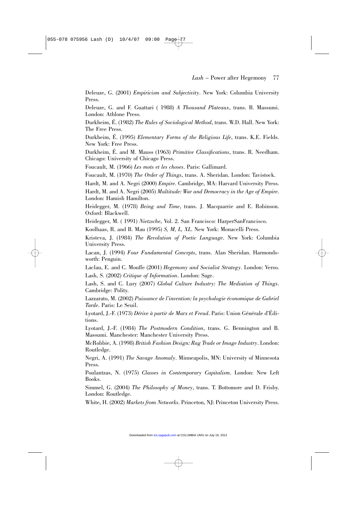Deleuze, G. (2001) *Empiricism and Subjectivity*. New York: Columbia University Press.

Deleuze, G. and F. Guattari ( 1988) *A Thousand Plateaux*, trans. B. Massumi. London: Athlone Press.

Durkheim, É. (1982) *The Rules of Sociological Method*, trans. W.D. Hall. New York: The Free Press.

Durkheim, É. (1995) *Elementary Forms of the Religious Life*, trans. K.E. Fields. New York: Free Press.

Durkheim, É. and M. Mauss (1963) *Primitive Classifications*, trans. R. Needham. Chicago: University of Chicago Press.

Foucault, M. (1966) *Les mots et les choses*. Paris: Gallimard.

Foucault, M. (1970) *The Order of Things*, trans. A. Sheridan. London: Tavistock.

Hardt, M. and A. Negri (2000) *Empire*. Cambridge, MA: Harvard University Press.

Hardt, M. and A. Negri (2005) *Multitude: War and Democracy in the Age of Empire*. London: Hamish Hamilton.

Heidegger, M. (1978) *Being and Time*, trans. J. Macquarrie and E. Robinson. Oxford: Blackwell.

Heidegger, M. ( 1991) *Nietzsche*, Vol. 2. San Francisco: HarperSanFrancisco.

Koolhaas, R. and B. Mau (1995) *S, M, L, XL*. New York: Monacelli Press.

Kristeva, J. (1984) *The Revolution of Poetic Language*. New York: Columbia University Press.

Lacan, J. (1994) *Four Fundamental Concepts*, trans. Alan Sheridan. Harmondsworth: Penguin.

Laclau, E. and C. Mouffe (2001) *Hegemony and Socialist Strategy*. London: Verso. Lash, S. (2002) *Critique of Information*. London: Sage.

Lash, S. and C. Lury (2007) *Global Culture Industry: The Mediation of Things*. Cambridge: Polity.

Lazzarato, M. (2002) *Puissance de l'invention: la psychologie économique de Gabriel Tarde*. Paris: Le Seuil.

Lyotard, J.-F. (1973) *Dérive à partir de Marx et Freud*. Paris: Union Générale d'Éditions.

Lyotard, J.-F. (1984) *The Postmodern Condition*, trans. G. Bennington and B. Massumi. Manchester: Manchester University Press.

McRobbie, A. (1998) *British Fashion Design: Rag Trade or Image Industry*. London: Routledge.

Negri, A. (1991) *The Savage Anomaly*. Minneapolis, MN: University of Minnesota Press.

Poulantzas, N. (1975) *Classes in Contemporary Capitalism*. London: New Left Books.

Simmel, G. (2004) *The Philosophy of Money*, trans. T. Bottomore and D. Frisby. London: Routledge.

White, H. (2002) *Markets from Networks*. Princeton, NJ: Princeton University Press.